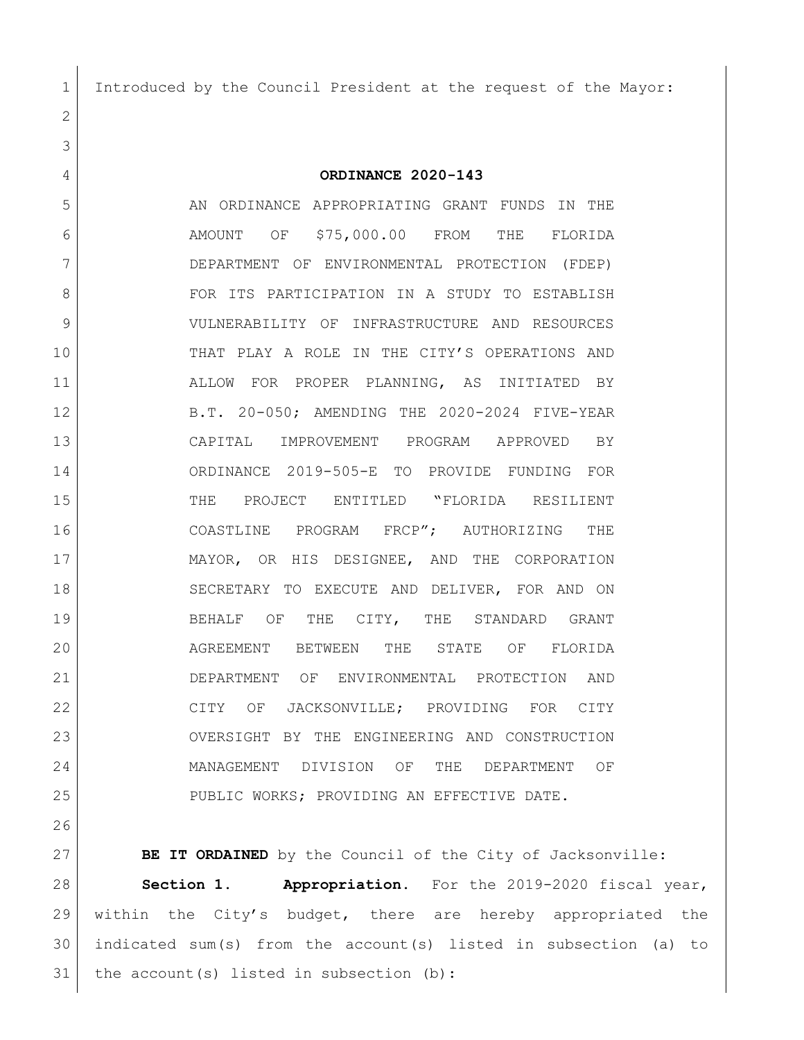Introduced by the Council President at the request of the Mayor:

**ORDINANCE 2020-143**

 AN ORDINANCE APPROPRIATING GRANT FUNDS IN THE AMOUNT OF \$75,000.00 FROM THE FLORIDA DEPARTMENT OF ENVIRONMENTAL PROTECTION (FDEP) 8 FOR ITS PARTICIPATION IN A STUDY TO ESTABLISH VULNERABILITY OF INFRASTRUCTURE AND RESOURCES THAT PLAY A ROLE IN THE CITY'S OPERATIONS AND ALLOW FOR PROPER PLANNING, AS INITIATED BY B.T. 20-050; AMENDING THE 2020-2024 FIVE-YEAR CAPITAL IMPROVEMENT PROGRAM APPROVED BY ORDINANCE 2019-505-E TO PROVIDE FUNDING FOR THE PROJECT ENTITLED "FLORIDA RESILIENT COASTLINE PROGRAM FRCP"; AUTHORIZING THE MAYOR, OR HIS DESIGNEE, AND THE CORPORATION SECRETARY TO EXECUTE AND DELIVER, FOR AND ON BEHALF OF THE CITY, THE STANDARD GRANT AGREEMENT BETWEEN THE STATE OF FLORIDA DEPARTMENT OF ENVIRONMENTAL PROTECTION AND CITY OF JACKSONVILLE; PROVIDING FOR CITY OVERSIGHT BY THE ENGINEERING AND CONSTRUCTION MANAGEMENT DIVISION OF THE DEPARTMENT OF 25 PUBLIC WORKS; PROVIDING AN EFFECTIVE DATE.

 **BE IT ORDAINED** by the Council of the City of Jacksonville: **Section 1. Appropriation.** For the 2019-2020 fiscal year, within the City's budget, there are hereby appropriated the indicated sum(s) from the account(s) listed in subsection (a) to 31 | the  $account(s)$  listed in subsection (b):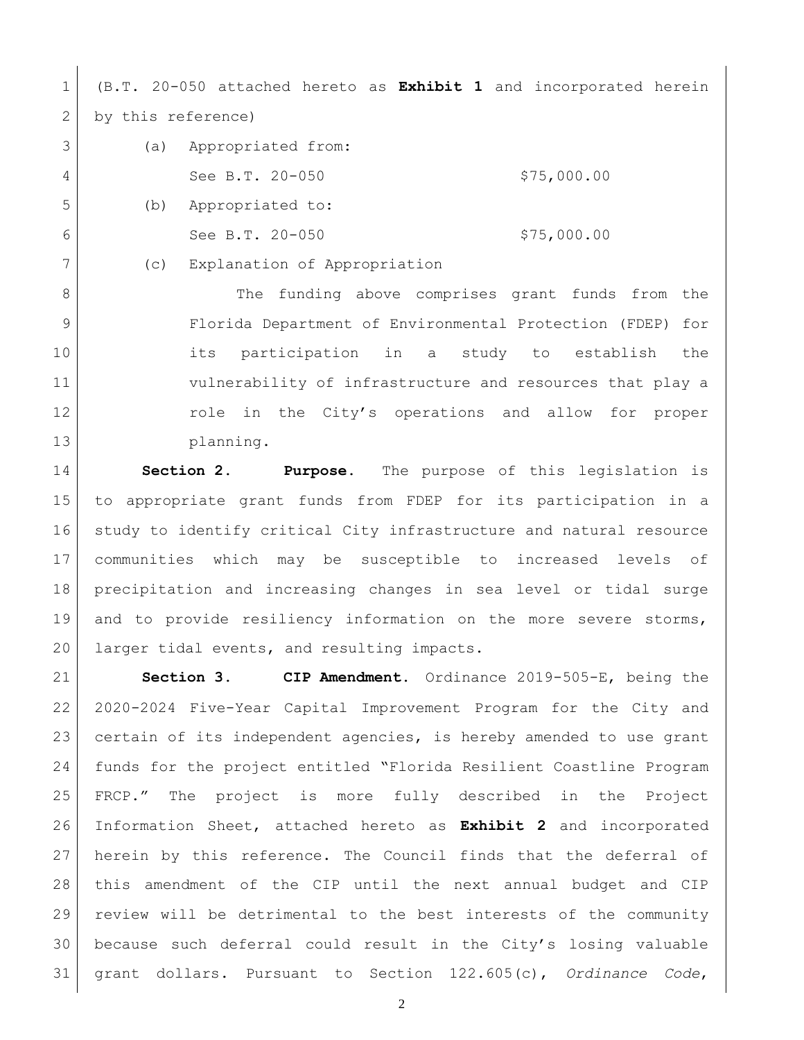(B.T. 20-050 attached hereto as **Exhibit 1** and incorporated herein 2 by this reference)

| 3 | (a) | Appropriated from: |             |
|---|-----|--------------------|-------------|
| 4 |     | See B.T. 20-050    | \$75,000.00 |
| 5 | (b) | Appropriated to:   |             |
| 6 |     | See B.T. 20-050    | \$75,000.00 |

(c) Explanation of Appropriation

8 The funding above comprises grant funds from the Florida Department of Environmental Protection (FDEP) for its participation in a study to establish the vulnerability of infrastructure and resources that play a 12 12 role in the City's operations and allow for proper planning.

 **Section 2. Purpose.** The purpose of this legislation is to appropriate grant funds from FDEP for its participation in a study to identify critical City infrastructure and natural resource communities which may be susceptible to increased levels of precipitation and increasing changes in sea level or tidal surge and to provide resiliency information on the more severe storms, 20 | larger tidal events, and resulting impacts.

 **Section 3. CIP Amendment.** Ordinance 2019-505-E, being the 2020-2024 Five-Year Capital Improvement Program for the City and certain of its independent agencies, is hereby amended to use grant funds for the project entitled "Florida Resilient Coastline Program FRCP." The project is more fully described in the Project Information Sheet, attached hereto as **Exhibit 2** and incorporated herein by this reference. The Council finds that the deferral of this amendment of the CIP until the next annual budget and CIP review will be detrimental to the best interests of the community because such deferral could result in the City's losing valuable grant dollars. Pursuant to Section 122.605(c), *Ordinance Code*,